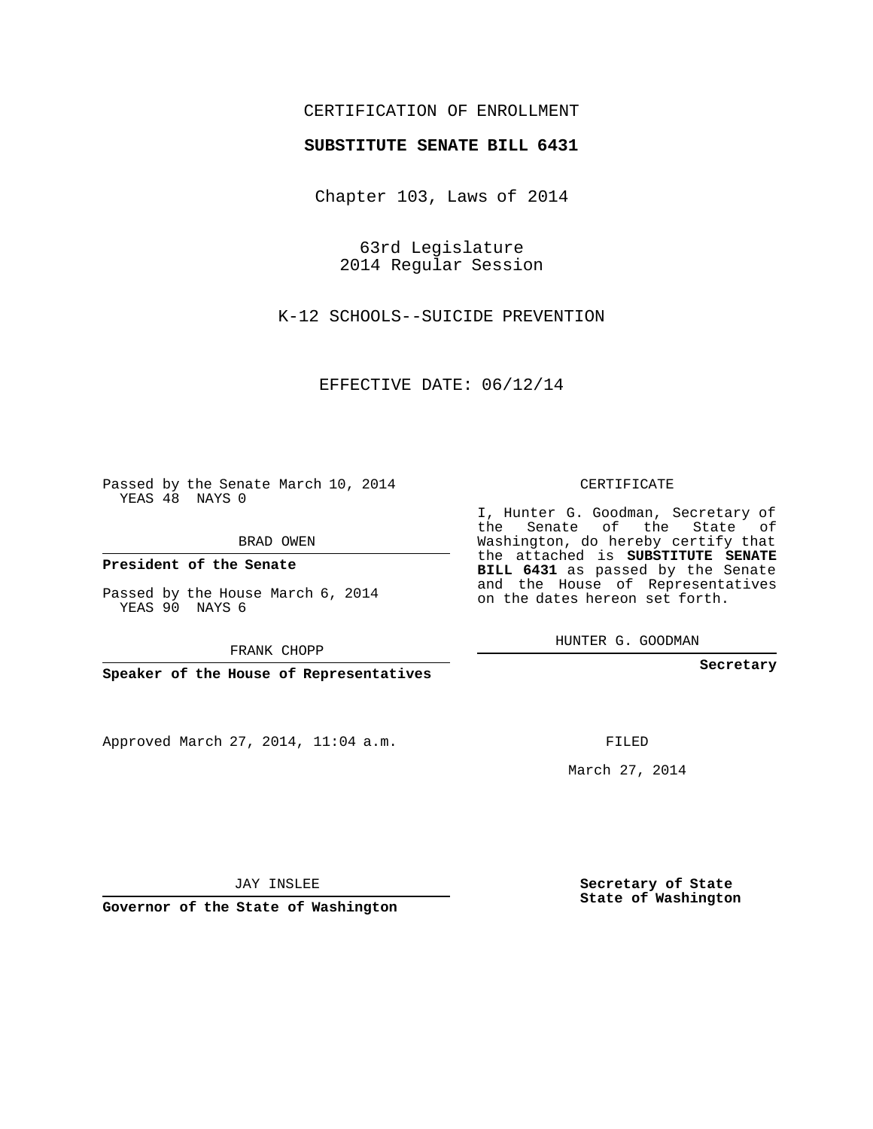## CERTIFICATION OF ENROLLMENT

## **SUBSTITUTE SENATE BILL 6431**

Chapter 103, Laws of 2014

63rd Legislature 2014 Regular Session

K-12 SCHOOLS--SUICIDE PREVENTION

EFFECTIVE DATE: 06/12/14

Passed by the Senate March 10, 2014 YEAS 48 NAYS 0

BRAD OWEN

**President of the Senate**

Passed by the House March 6, 2014 YEAS 90 NAYS 6

FRANK CHOPP

**Speaker of the House of Representatives**

Approved March 27, 2014, 11:04 a.m.

CERTIFICATE

I, Hunter G. Goodman, Secretary of the Senate of the State of Washington, do hereby certify that the attached is **SUBSTITUTE SENATE BILL 6431** as passed by the Senate and the House of Representatives on the dates hereon set forth.

HUNTER G. GOODMAN

**Secretary**

FILED

March 27, 2014

**Secretary of State State of Washington**

JAY INSLEE

**Governor of the State of Washington**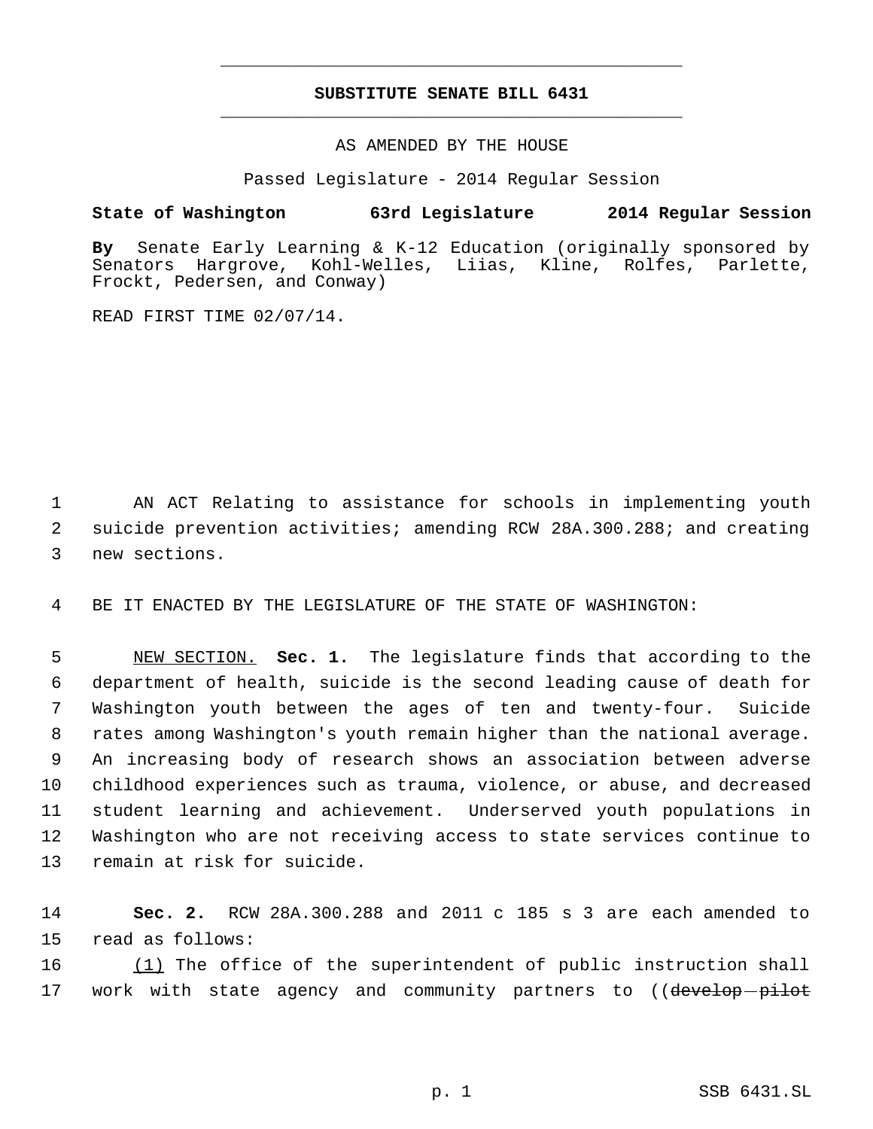## **SUBSTITUTE SENATE BILL 6431** \_\_\_\_\_\_\_\_\_\_\_\_\_\_\_\_\_\_\_\_\_\_\_\_\_\_\_\_\_\_\_\_\_\_\_\_\_\_\_\_\_\_\_\_\_

\_\_\_\_\_\_\_\_\_\_\_\_\_\_\_\_\_\_\_\_\_\_\_\_\_\_\_\_\_\_\_\_\_\_\_\_\_\_\_\_\_\_\_\_\_

AS AMENDED BY THE HOUSE

Passed Legislature - 2014 Regular Session

## **State of Washington 63rd Legislature 2014 Regular Session**

**By** Senate Early Learning & K-12 Education (originally sponsored by Senators Hargrove, Kohl-Welles, Liias, Kline, Rolfes, Parlette, Frockt, Pedersen, and Conway)

READ FIRST TIME 02/07/14.

 1 AN ACT Relating to assistance for schools in implementing youth 2 suicide prevention activities; amending RCW 28A.300.288; and creating 3 new sections.

4 BE IT ENACTED BY THE LEGISLATURE OF THE STATE OF WASHINGTON:

 NEW SECTION. **Sec. 1.** The legislature finds that according to the department of health, suicide is the second leading cause of death for Washington youth between the ages of ten and twenty-four. Suicide rates among Washington's youth remain higher than the national average. An increasing body of research shows an association between adverse childhood experiences such as trauma, violence, or abuse, and decreased student learning and achievement. Underserved youth populations in Washington who are not receiving access to state services continue to remain at risk for suicide.

14 **Sec. 2.** RCW 28A.300.288 and 2011 c 185 s 3 are each amended to 15 read as follows:

16 (1) The office of the superintendent of public instruction shall 17 work with state agency and community partners to ((develop-pilot